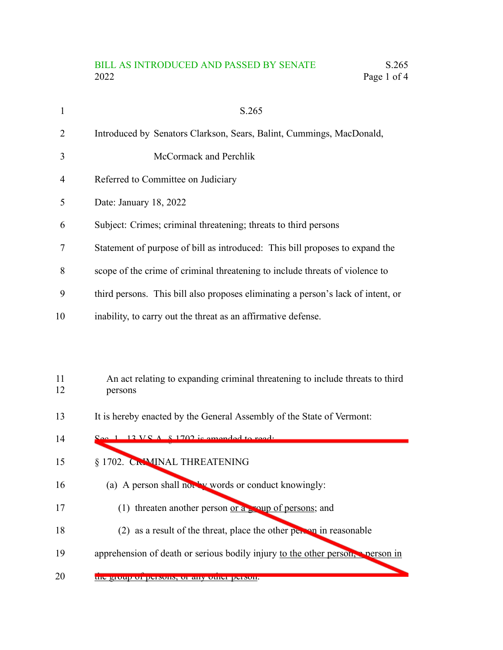## BILL AS INTRODUCED AND PASSED BY SENATE S.265 2022 Page 1 of 4

|    | S.265                                                                            |
|----|----------------------------------------------------------------------------------|
| 2  | Introduced by Senators Clarkson, Sears, Balint, Cummings, MacDonald,             |
| 3  | McCormack and Perchlik                                                           |
| 4  | Referred to Committee on Judiciary                                               |
| 5  | Date: January 18, 2022                                                           |
| 6  | Subject: Crimes; criminal threatening; threats to third persons                  |
| 7  | Statement of purpose of bill as introduced: This bill proposes to expand the     |
| 8  | scope of the crime of criminal threatening to include threats of violence to     |
| 9  | third persons. This bill also proposes eliminating a person's lack of intent, or |
| 10 | inability, to carry out the threat as an affirmative defense.                    |

## An act relating to expanding criminal threatening to include threats to third persons 11 12

It is hereby enacted by the General Assembly of the State of Vermont: 13

| 14 | $\Omega_{\text{QCD}}$ 1 12 VC $\Lambda$ $\&$ 1702 is amonded to read.         |
|----|-------------------------------------------------------------------------------|
| 15 | § 1702. CRIMINAL THREATENING                                                  |
| 16 | (a) A person shall not by words or conduct knowingly:                         |
| 17 | threaten another person or a soup of persons; and<br>(1)                      |
| 18 | (2) as a result of the threat, place the other person in reasonable           |
| 19 | apprehension of death or serious bodily injury to the other person, person in |
| 20 | the group of persons, or any other person.                                    |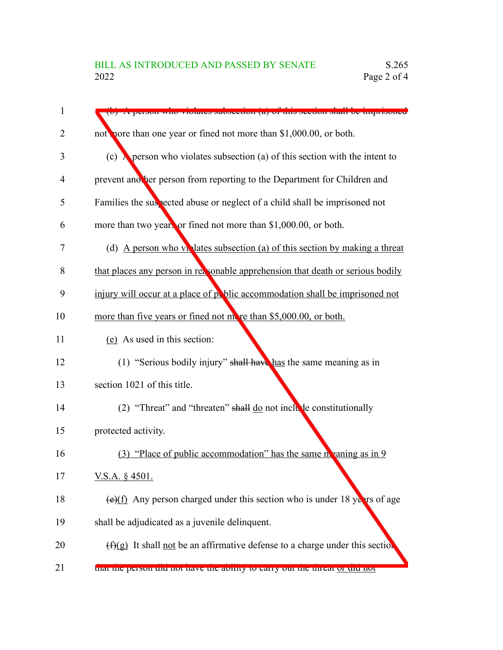| 1  | A person who riotates subsection (a) of this section shall be imprison                        |
|----|-----------------------------------------------------------------------------------------------|
| 2  | not note than one year or fined not more than \$1,000.00, or both.                            |
| 3  | (c) $\lambda$ person who violates subsection (a) of this section with the intent to           |
| 4  | prevent another person from reporting to the Department for Children and                      |
| 5  | Families the suspected abuse or neglect of a child shall be imprisoned not                    |
| 6  | more than two years or fined not more than \$1,000.00, or both.                               |
| 7  | (d) A person who violates subsection (a) of this section by making a threat                   |
| 8  | that places any person in reasonable apprehension that death or serious bodily                |
| 9  | injury will occur at a place of public accommodation shall be imprisoned not                  |
| 10 | more than five years or fined not more than \$5,000.00, or both.                              |
| 11 | (e) As used in this section:                                                                  |
| 12 | (1) "Serious bodily injury" shall have has the same meaning as in                             |
| 13 | section 1021 of this title.                                                                   |
| 14 | (2) "Threat" and "threaten" shall $\underline{do}$ not inclube constitutionally               |
| 15 | protected activity.                                                                           |
| 16 | $(3)$ "Place of public accommodation" has the same meaning as in 9                            |
| 17 | V.S.A. $§$ 4501.                                                                              |
| 18 | $\left(\frac{e}{f}\right)$ Any person charged under this section who is under 18 years of age |
| 19 | shall be adjudicated as a juvenile delinquent.                                                |
| 20 | $(f)(g)$ It shall not be an affirmative defense to a charge under this section                |
| 21 | that the person the not have the ability to early out the threat of the not                   |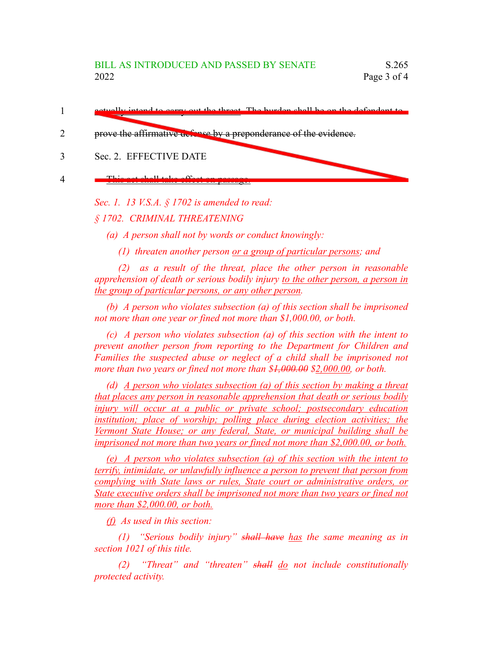- carry out the threat. The burden shall be on the defender 1
- prove the affirmative defense by a preponderance of the evidence. 2
- Sec. 2. EFFECTIVE DATE 3
- This act shall take effect on passage. 4

*Sec. 1. 13 V.S.A. § 1702 is amended to read:*

*§ 1702. CRIMINAL THREATENING*

*(a) A person shall not by words or conduct knowingly:*

*(1) threaten another person or a group of particular persons; and*

*(2) as a result of the threat, place the other person in reasonable apprehension of death or serious bodily injury to the other person, a person in the group of particular persons, or any other person.*

*(b) A person who violates subsection (a) of this section shall be imprisoned not more than one year or fined not more than \$1,000.00, or both.*

*(c) A person who violates subsection (a) of this section with the intent to prevent another person from reporting to the Department for Children and Families the suspected abuse or neglect of a child shall be imprisoned not more than two years or fined not more than \$1,000.00 \$2,000.00, or both.*

*(d) A person who violates subsection (a) of this section by making a threat that places any person in reasonable apprehension that death or serious bodily injury will occur at a public or private school; postsecondary education institution; place of worship; polling place during election activities; the Vermont State House; or any federal, State, or municipal building shall be imprisoned not more than two years or fined not more than \$2,000.00, or both.*

*(e) A person who violates subsection (a) of this section with the intent to terrify, intimidate, or unlawfully influence a person to prevent that person from complying with State laws or rules, State court or administrative orders, or State executive orders shall be imprisoned not more than two years or fined not more than \$2,000.00, or both.*

*(f) As used in this section:*

*(1) "Serious bodily injury" shall have has the same meaning as in section 1021 of this title.*

*(2) "Threat" and "threaten" shall do not include constitutionally protected activity.*